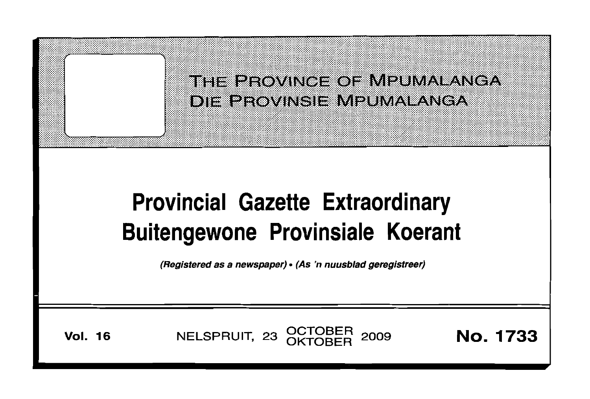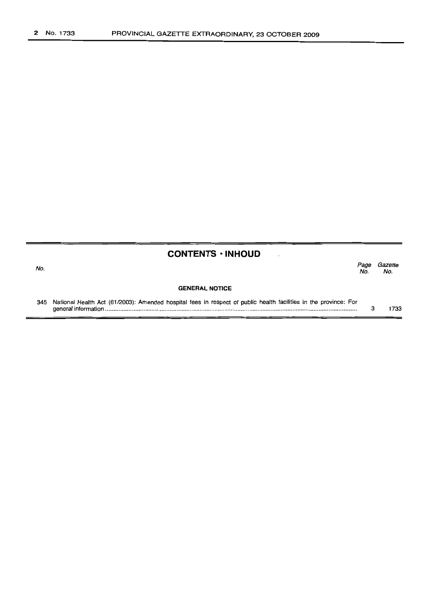| <b>CONTENTS · INHOUD</b> |  |
|--------------------------|--|
|--------------------------|--|

| ÷ | M<br>× | ۰. |
|---|--------|----|

| No. |                                                                                                                      | Page<br>No. | Gazette<br>No. |
|-----|----------------------------------------------------------------------------------------------------------------------|-------------|----------------|
|     | <b>GENERAL NOTICE</b>                                                                                                |             |                |
|     | 345 National Health Act (61/2003): Amended hospital fees in respect of public health facilities in the province: For |             | 733            |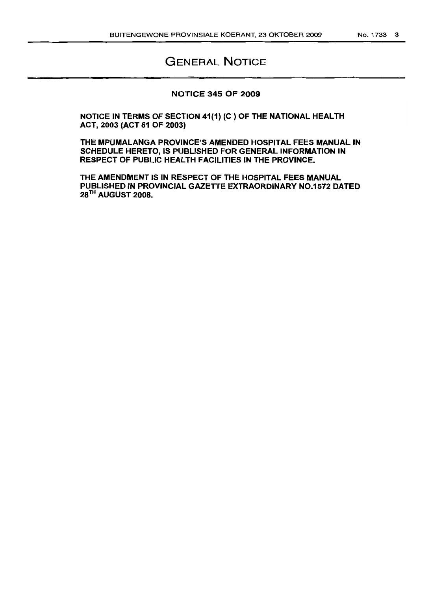# GENERAL NOTICE

#### NOTICE 345 OF 2009

NOTICE IN TERMS OF SECTION 41(1) (C) OF THE NATIONAL HEALTH ACT, 2003 (ACT 61 OF 2003)

THE MPUMALANGA PROVINCE'S AMENDED HOSPITAL FEES MANUAL IN SCHEDULE HERETO, IS PUBLISHED FOR GENERAL INFORMATION IN RESPECT OF PUBLIC HEALTH FACILITIES IN THE PROVINCE.

THE AMENDMENT IS IN RESPECT OF THE HOSPITAL FEES MANUAL PUBLISHED IN PROVINCIAL GAZETrE EXTRAORDINARY NO.1572 DATED 28<sup>TH</sup> AUGUST 2008.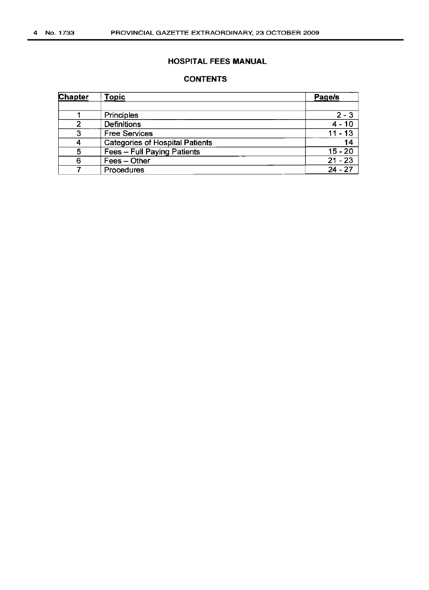## HOSPITAL FEES MANUAL

## **CONTENTS**

| Ch <u>apter</u> | <b>Topic</b>                           | Page/s    |
|-----------------|----------------------------------------|-----------|
|                 |                                        |           |
|                 | Principles                             | $2 - 3$   |
| າ               | <b>Definitions</b>                     | $4 - 10$  |
| 3               | <b>Free Services</b>                   | $11 - 13$ |
| Δ               | <b>Categories of Hospital Patients</b> | 14        |
| 5               | Fees - Full Paying Patients            | $15 - 20$ |
| 6               | Fees - Other                           | $21 - 23$ |
|                 | Procedures                             | $24 - 27$ |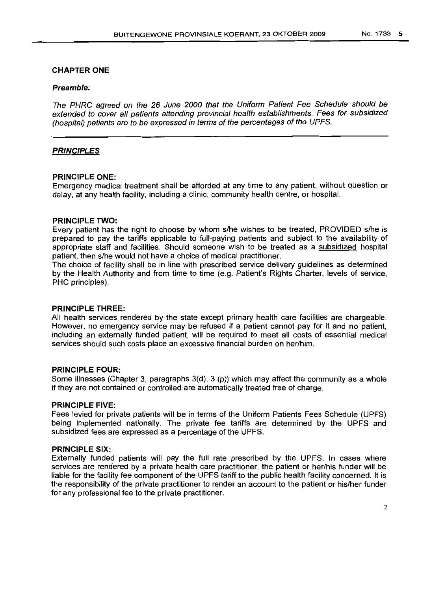## CHAPTER ONE

#### **Preamble:**

The PHRC agreed on the 26 June 2000 that the Uniform Patient Fee Schedule should be extended to cover all patients attending provincial health establishments. Fees for subsidized (hospital) patients are to be expressed in terms of the percentages of the UPFS.

## **PRINCIPLES**

#### **PRINCIPLE ONE:**

Emergency medical treatment shall be afforded at any time to any patient, without question or delay, at any health facility, including a clinic, community health centre, or hospital.

#### **PRINCIPLE TWO:**

Every patient has the right to choose by whom s/he wishes to be treated, PROVIDED s/he is prepared to pay the tariffs applicable to full-paying patients and subject to the availability of appropriate staff and facilities. Should someone wish to be treated as a subsidized hospital patient, then s/he would not have a choice of medical practitioner.

The choice of facility shall be in line with prescribed service delivery guidelines as determined by the Health Authority and from time to time (e.g. Patient's Rights Charter, levels of service, PHC principles).

#### **PRINCIPLE THREE:**

All health services rendered by the state except primary health care facilities are chargeable. However, no emergency service may be refused if a patient cannot pay for it and no patient, including an externally funded patient, will be required to meet all costs of essential medical services should such costs place an excessive financial burden on her/him.

#### **PRINCIPLE FOUR:**

Some illnesses (Chapter 3, paragraphs 3(d), 3 (p)) which may affect the community as a whole if they are not contained or controlled are automatically treated free of charge.

### **PRINCIPLE FIVE:**

Fees levied for private patients will be in terms of the Uniform Patients Fees Schedule (UPFS) being implemented nationally. The private fee tariffs are determined by the UPFS and subsidized fees are expressed as a percentage of the UPFS.

#### **PRINCIPLE SIX:**

Externally funded patients will pay the full rate prescribed by the UPFS. In cases where services are rendered by a private health care practitioner, the patient or her/his funder will be liable for the facility fee component of the UPFS tariff to the public health facility concerned. It is the responsibility of the private practitioner to render an account to the patient or his/her funder for any professional fee to the private practitioner.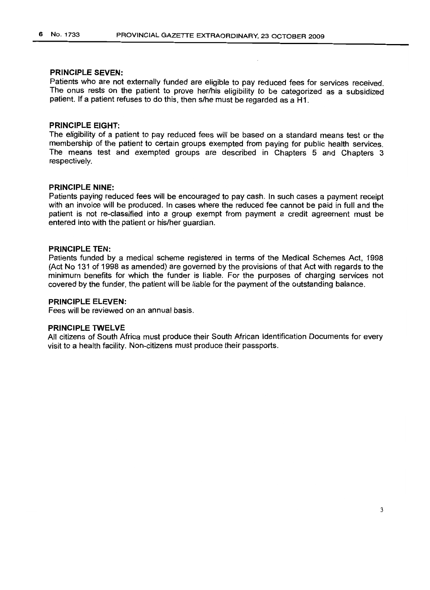## **PRINCIPLE SEVEN:**

Patients who are not externally funded are eligible to pay reduced fees for services received. The onus rests on the patient to prove her/his eligibility to be categorized as a subsidized patient. If a patient refuses to do this, then s/he must be regarded as a H1.

#### **PRINCIPLE EIGHT:**

The eligibility of a patient to pay reduced fees will be based on a standard means test or the membership of the patient to certain groups exempted from paying for public health services. The means test and exempted groups are described in Chapters 5 and Chapters 3 respectively.

#### **PRINCIPLE NINE:**

Patients paying reduced fees will be encouraged to pay cash. In such cases a payment receipt with an invoice will be produced. In cases where the reduced fee cannot be paid in full and the patient is not re-classified into a group exempt from payment a credit agreement must be entered into with the patient or his/her guardian.

#### **PRINCIPLE TEN:**

Patients funded by a medical scheme registered in terms of the Medical Schemes Act, 1998 (Act No 131 of 1998 as amended) are governed by the provisions of that Act with regards to the minimum benefits for which the funder is liable. For the purposes of charging services not covered by the funder, the patient will be liable for the payment of the outstanding balance.

## **PRINCIPLE ELEVEN:**

Fees will be reviewed on an annual basis.

## **PRINCIPLE TWELVE**

All citizens of South Africa must produce their South African Identification Documents for every visit to a health facility. Non-citizens must produce their passports.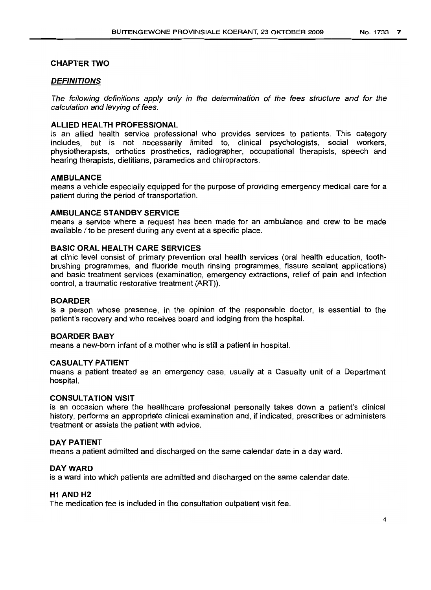## **CHAPTER TWO**

## **DEFINITIONS**

The following definitions apply only in the determination of the fees structure and for the calculation and levying of fees.

## **ALLIED HEALTH PROFESSIONAL**

is an allied health service professional who provides services to patients. This category includes, but is not necessarily limited to, clinical psychologists, social workers, physiotherapists, orthotics prosthetics, radiographer, occupational therapists, speech and hearing therapists, dietitians, paramedics and chiropractors.

#### **AMBULANCE**

means a vehicle especially equipped for the purpose of providing emergency medical care for a patient during the period of transportation.

#### **AMBULANCE STANDBY SERVICE**

means a service where a request has been made for an ambulance and crew to be made available / to be present during any event at a specific place.

## **BASIC ORAL HEALTH CARE SERVICES**

at clinic level consist of primary prevention oral health services (oral health education, toothbrushing programmes, and fluoride mouth rinsing programmes, fissure sealant applications) and basic treatment services (examination, emergency extractions, relief of pain and infection control, a traumatic restorative treatment (ART)).

### **BOARDER**

is a person whose presence, in the opinion of the responsible doctor, is essential to the patient's recovery and who receives board and lodging from the hospital.

#### **BOARDER BABY**

means a new-born infant of a mother who is still a patient in hospital.

#### **CASUALTV PATIENT**

means a patient treated as an emergency case, usually at a Casualty unit of a Department hospital.

#### **CONSULTATION VISIT**

is an occasion where the healthcare professional personally takes down a patient's clinical history, performs an appropriate clinical examination and, if indicated, prescribes or administers treatment or assists the patient with advice.

#### **DAY PATIENT**

means a patient admitted and discharged on the same calendar date in a day ward.

#### DAY WARD

is a ward into which patients are admitted and discharged on the same calendar date.

## **H1 AND H2**

The medication fee is included in the consultation outpatient visit fee.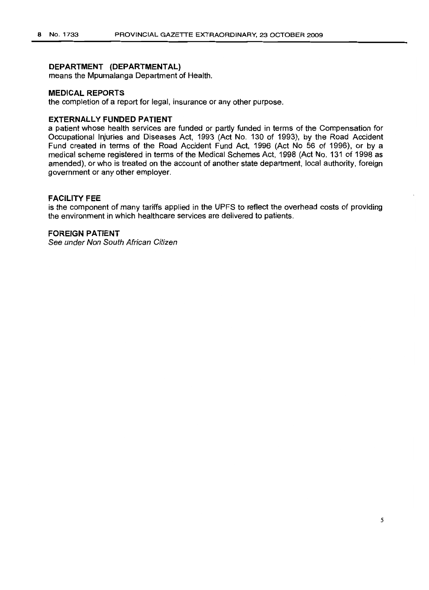## **DEPARTMENT (DEPARTMENTAL)**

means the Mpumalanga Department of Health.

#### **MEDICAL REPORTS**

the completion of a report for legal, insurance or any other purpose.

### **EXTERNALLY FUNDED PATIENT**

a patient whose health services are funded or partly funded in terms of the Compensation for Occupational Injuries and Diseases Act, 1993 (Act No. 130 of 1993), by the Road Accident Fund created in terms of the Road Accident Fund Act, 1996 (Act No 56 of 1996), or by a medical scheme registered in terms of the Medical Schemes Act, 1998 (Act No. 131 of 1998 as amended), or who is treated on the account of another state department, local authority, foreign government or any other employer.

## **FACILITY FEE**

is the component of many tariffs applied in the UPFS to reflect the overhead costs of providing the environment in which healthcare services are delivered to patients.

## **FOREIGN PATiENT**

See under Non South African Citizen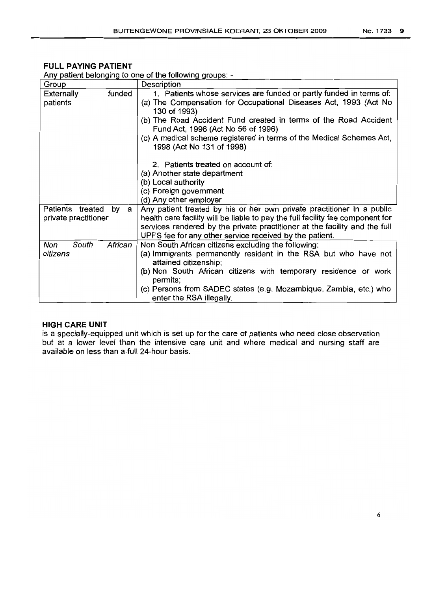## **FULL PAYING PATIENT**

| Group                |         | Description                                                                                            |
|----------------------|---------|--------------------------------------------------------------------------------------------------------|
| Externally           | funded  | 1. Patients whose services are funded or partly funded in terms of:                                    |
| patients             |         | (a) The Compensation for Occupational Diseases Act, 1993 (Act No                                       |
|                      |         | 130 of 1993)                                                                                           |
|                      |         | (b) The Road Accident Fund created in terms of the Road Accident<br>Fund Act, 1996 (Act No 56 of 1996) |
|                      |         | (c) A medical scheme registered in terms of the Medical Schemes Act,                                   |
|                      |         | 1998 (Act No 131 of 1998)                                                                              |
|                      |         |                                                                                                        |
|                      |         | 2. Patients treated on account of:                                                                     |
|                      |         | (a) Another state department                                                                           |
|                      |         | (b) Local authority                                                                                    |
|                      |         | (c) Foreign government                                                                                 |
|                      |         | (d) Any other employer                                                                                 |
| Patients<br>treated  | by a    | Any patient treated by his or her own private practitioner in a public                                 |
| private practitioner |         | health care facility will be liable to pay the full facility fee component for                         |
|                      |         | services rendered by the private practitioner at the facility and the full                             |
|                      |         | UPFS fee for any other service received by the patient.                                                |
| Non<br>South         | African | Non South African citizens excluding the following:                                                    |
| citizens             |         | (a) Immigrants permanently resident in the RSA but who have not                                        |
|                      |         | attained citizenship;                                                                                  |
|                      |         | (b) Non South African citizens with temporary residence or work                                        |
|                      |         | permits;                                                                                               |
|                      |         | (c) Persons from SADEC states (e.g. Mozambique, Zambia, etc.) who                                      |
|                      |         | enter the RSA illegally.                                                                               |

Any patient belonging to one of the following groups: -

## **HIGH CARE UNIT**

is a specially-equipped unit which is set up for the care of patients who need close observation but at a lower level than the intensive care unit and where medical and nursing staff are available on less than a.full 24-hour basis.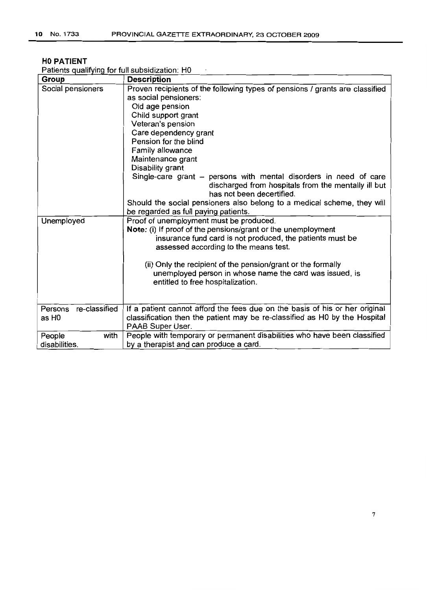## **HOPATIENT**

Patients qualifyinq for full subsidization: HO  $\sim$   $\epsilon$ 

| Group                    | <b>Description</b>                                                                                                                                    |
|--------------------------|-------------------------------------------------------------------------------------------------------------------------------------------------------|
| Social pensioners        | Proven recipients of the following types of pensions / grants are classified                                                                          |
|                          | as social pensioners:                                                                                                                                 |
|                          | Old age pension                                                                                                                                       |
|                          | Child support grant                                                                                                                                   |
|                          | Veteran's pension                                                                                                                                     |
|                          | Care dependency grant                                                                                                                                 |
|                          | Pension for the blind                                                                                                                                 |
|                          | Family allowance                                                                                                                                      |
|                          | Maintenance grant                                                                                                                                     |
|                          | Disability grant                                                                                                                                      |
|                          | Single-care grant – persons with mental disorders in need of care<br>discharged from hospitals from the mentally ill but<br>has not been decertified. |
|                          | Should the social pensioners also belong to a medical scheme, they will                                                                               |
|                          | be regarded as full paying patients.                                                                                                                  |
| Unemployed               | Proof of unemployment must be produced.                                                                                                               |
|                          | Note: (i) If proof of the pensions/grant or the unemployment                                                                                          |
|                          | insurance fund card is not produced, the patients must be                                                                                             |
|                          | assessed according to the means test.                                                                                                                 |
|                          |                                                                                                                                                       |
|                          | (ii) Only the recipient of the pension/grant or the formally                                                                                          |
|                          | unemployed person in whose name the card was issued, is                                                                                               |
|                          | entitled to free hospitalization.                                                                                                                     |
|                          |                                                                                                                                                       |
|                          |                                                                                                                                                       |
| re-classified<br>Persons | If a patient cannot afford the fees due on the basis of his or her original                                                                           |
| as H <sub>0</sub>        | classification then the patient may be re-classified as H0 by the Hospital                                                                            |
|                          | PAAB Super User.                                                                                                                                      |
| with<br>People           | People with temporary or permanent disabilities who have been classified                                                                              |
| disabilities.            | by a therapist and can produce a card.                                                                                                                |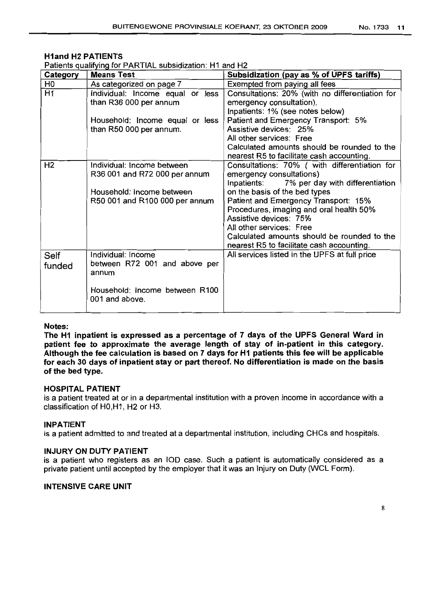## H1and H2 PATIENTS

Patients qualifying for PARTIAL subsidization: H1 and H2

| Category       | <b>Means Test</b>                                                                                                          | Subsidization (pay as % of UPFS tariffs)                                                                                                                                                                                                                                                                                                                                                          |
|----------------|----------------------------------------------------------------------------------------------------------------------------|---------------------------------------------------------------------------------------------------------------------------------------------------------------------------------------------------------------------------------------------------------------------------------------------------------------------------------------------------------------------------------------------------|
| H0             | As categorized on page 7                                                                                                   | Exempted from paying all fees                                                                                                                                                                                                                                                                                                                                                                     |
| H1             | Individual: Income equal or less<br>than R36 000 per annum                                                                 | Consultations: 20% (with no differentiation for<br>emergency consultation).<br>Inpatients: 1% (see notes below)                                                                                                                                                                                                                                                                                   |
|                | Household: Income equal or less<br>than R50 000 per annum.                                                                 | Patient and Emergency Transport: 5%<br>Assistive devices: 25%<br>All other services: Free<br>Calculated amounts should be rounded to the<br>nearest R5 to facilitate cash accounting.                                                                                                                                                                                                             |
| Н2             | Individual: Income between<br>R36 001 and R72 000 per annum<br>Household: Income between<br>R50 001 and R100 000 per annum | Consultations: 70% ( with differentiation for<br>emergency consultations)<br>7% per day with differentiation<br>Inpatients:<br>on the basis of the bed types<br>Patient and Emergency Transport: 15%<br>Procedures, imaging and oral health 50%<br>Assistive devices: 75%<br>All other services: Free<br>Calculated amounts should be rounded to the<br>nearest R5 to facilitate cash accounting. |
| Self<br>funded | Individual: Income<br>between R72 001 and above per<br>annum<br>Household: Income between R100<br>001 and above.           | All services listed in the UPFS at full price                                                                                                                                                                                                                                                                                                                                                     |

#### Notes:

The H1 inpatient is expressed as a percentage of 7 days of the UPFS General Ward in patient fee to approximate the average length of stay of in-patient in this category. Although the fee calculation is based on 7 days for H1 patients this fee will be applicable for each 30 days of inpatient stay or part thereof. No differentiation is made on the basis of the bed type.

#### HOSPITAL PATIENT

is a patient treated at or in a departmental institution with a proven income in accordance with a classification of HO,H1, H2 or H3.

#### INPATIENT

is a patient admitted to and treated at a departmental institution, including CHCs and hospitals.

#### INJURY ON DUTY PATIENT

is a patient who registers as an 100 case. Such a patient is automatically considered as a private patient until accepted by the employer that it was an Injury on Duty (WCL Form).

#### INTENSIVE CARE UNIT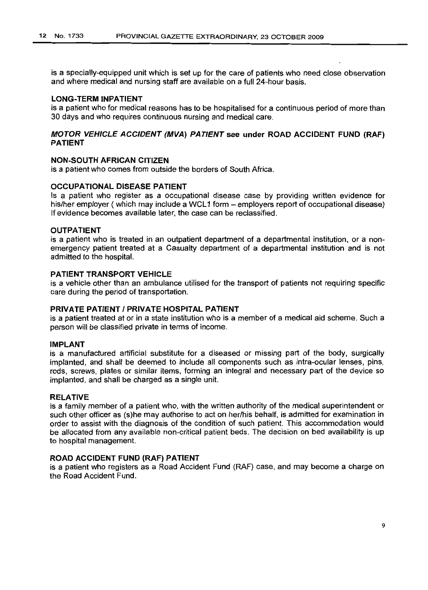is a specially-equipped unit which is set up for the care of patients who need close observation and where medical and nursing staff are available on a full 24-hour basis.

#### **LONG-TERM INPATIENT**

is a patient who for medical reasons has to be hospitalised for a continuous period of more than 30 days and who requires continuous nursing and medical care.

## **MOTOR VEHICLE ACCIDENT (MVA) PATIENT see under ROAD ACCIDENT FUND (RAF) PATIENT**

#### **NON-SOUTH AFRICAN CITIZEN**

is a patient who comes from outside the borders of South Africa.

## **OCCUPATIONAL DISEASE PATIENT**

Is a patient who register as a occupational disease case by providing written evidence for his/her employer (which may include a WCL1 form – employers report of occupational disease) If evidence becomes available later. the case can be reclassified.

### **OUTPATIENT**

is a patient who is treated in an outpatient department of a departmental institution, or a nonemergency patient treated at a Casualty department of a departmental institution and is not admitted to the hospital.

## **PATIENT TRANSPORT VEHICLE**

is a vehicle other than an ambulance utilised for the transport of patients not requiring specific care during the period of transportation.

#### **PRIVATE PATIENT I PRIVATE HOSPITAL PATIENT**

is a patient treated at or in a state institution who is a member of a medical aid scheme. Such a person will be classified private in terms of income.

#### **IMPLANT**

is a manufactured artificial substitute for a diseased or missing part of the body, surgically implanted. and shall be deemed to include all components such as intra-ocular lenses, pins, rods, screws, plates or similar items, forming an integral and necessary part of the device so implanted, and shall be charged as a single unit.

#### **RELATIVE**

is a family member of a patient who, with the written authority of the medical superintendent or such other officer as (s)he may authorise to act on her/his behalf, is admitted for examination in order to assist with the diagnosis of the condition of such patient. This accommodation would be allocated from any available non-critical patient beds. The decision on bed availability is up to hospital management.

#### **ROAD ACCIDENT FUND (RAF) PATIENT**

is a patient who registers as a Road Accident Fund (RAF) case, and may become a charge on the Road Accident Fund.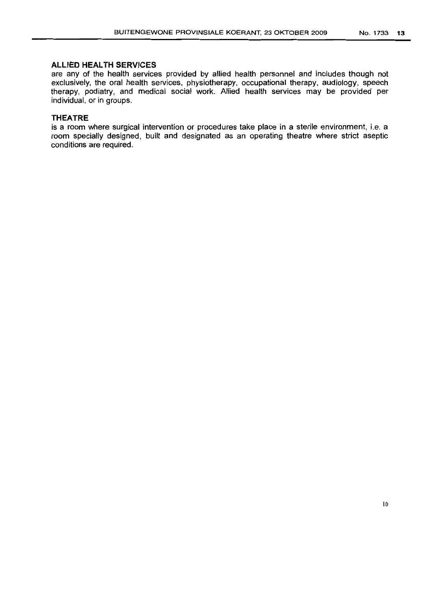## **ALLIED HEALTH SERVICES**

are any of the health services provided by allied health personnel and includes though not exclusively, the oral health services, physiotherapy, occupational therapy, audiology, speech therapy, podiatry, and medical social work. Allied health services may be provided per individual, or in groups.

## **THEATRE**

is a room where surgical intervention or procedures take place in a sterile environment, i.e. a room specially designed, built and designated as an operating theatre where strict aseptic conditions are required.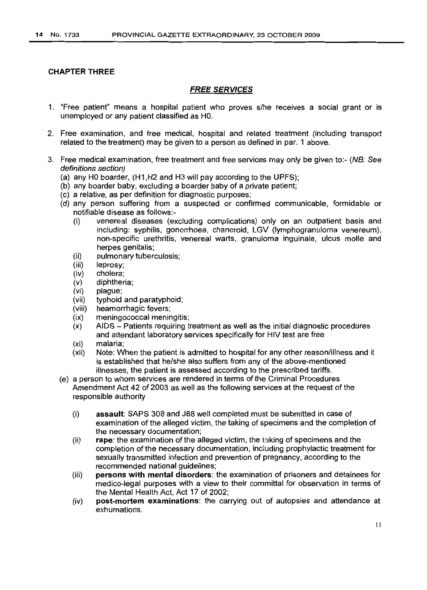## CHAPTER THREE

## FREE SERVICES

- 1. "Free patient" means a hospital patient who proves s/he receives a social grant or Is unemployed or any patient classified as HO.
- 2. Free examination, and free medical, hospital and related treatment (including transport related to the treatment) may be given to a person as defined in par. 1 above.
- 3. Free medical examination, free treatment and free services may only be given to:- (NB: See definitions section)
	- (a) any HO boarder, (H1,H2 and H3 will pay according to the UPFS);
	- (b) any boarder baby, excluding a boarder baby of a private patient;
	- (c) a relative, as per definition for diagnostic purposes;
	- (d) any person suffering from a suspected or confirmed communicable, formidable or notifiable disease as follows:-
		- (i) venereal diseases (excluding complications) only on an outpatient basis and including: syphilis, gonorrhoea, chancroid, LGV (lymphogranuloma venereum), non-specific urethritis, venereal warts, granuloma inguinale, ulcus molle and herpes genitalis;
		- (ii) pulmonary tuberculosis;
		- (iii) leprosy;
		- (iv) cholera;
		- (v) diphtheria;
		- (vi) plague;
		- (vii) typhoid and paratyphoid;
		- (viii) heamorrhagic fevers;
		- (ix) meningococcal meningitis;
		- (x) AIDS Patients requiring treatment as well as the initial diagnostic procedures and attendant laboratory services specifically for HIV test are free
		- (xi) malaria;
		- (xii) Note: When the patient is admitted to hospital for any other reason/illness and it is established that he/she also suffers from any of the above-mentioned illnesses, the patient is assessed according to the prescribed tariffs.
	- (e) a person to whom services are rendered in terms of the Criminal Procedures Amendment Act 42 of 2003 as well as the following services at the request of the responsible authority
		- (i) assault: SAPS 308 and J88 well completed must be submitted in case of examination of the alleged victim, the taking of specimens and the completion of the necessary documentation;
		- (ii) rape: the examination of the alleged victim, the taking of specimens and the completion of the necessary documentation, including prophylactic treatment for sexually transmitted infection and prevention of pregnancy, according to the recommended national guidelines;
		- (iii) persons with mental disorders: the examination of prisoners and detainees for medico-legal purposes with a view to their committal for observation in terms of the Mental Health Act, Act 17 of 2002;
		- (iv) post-mortem examinations: the carrying out of autopsies and attendance at exhumations.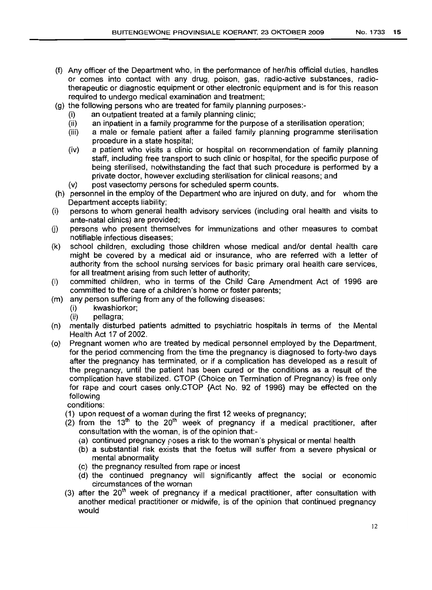- (f) Any officer of the Department who, in the performance of her/his official duties, handles or comes into contact with any drug, poison, gas, radio-active substances, radiotherapeutic or diagnostic equipment or other electronic equipment and is for this reason required to undergo medical examination and treatment;
- (g) the following persons who are treated for family planning purposes:-
	- (i) an outpatient treated at a family planning clinic;
	- (ii) an inpatient in a family programme for the purpose of a sterilisation operation;
	- (iii) a male or female patient after a failed family planning programme sterilisation procedure in a state hospital;
	- (iv) a patient who visits a clinic or hospital on recommendation of family planning staff, including free transport to such clinic or hospital, for the specific purpose of being sterilised, notwithstanding the fact that such procedure is performed by a private doctor, however excluding sterilisation for clinical reasons; and
	- (v) post vasectomy persons for scheduled sperm counts.
- (h) personnel in the employ of the Department who are injured on duty, and for whom the Department accepts liability;
- (i) persons to whom general health advisory services (includinq oral health and visits to ante-natal clinics) are provided;
- U) persons who present themselves for immunizations and other measures to combat notifiable infectious diseases;
- (k) school children, excluding those children whose medical and/or dental health care might be covered by a medical aid or insurance, who are referred with a letter of authority from the school nursing services for basic primary oral health care services, for all treatment arising from such letter of authority;
- (I) committed children, who in terms of the Child Care Amendment Act of 1996 are committed to the care of a children's home or foster parents;
- (m) any person suffering from any of the following diseases:
	- (i) kwashiorkor;
	- (ii) pellagra;
- (n) mentally disturbed patients admitted to psychiatric hospitals in terms of the Mental Health Act 17 of 2002.
- (0) Pregnant women who are treated by medical personnel employed by the Department, for the period commencing from the time the pregnancy is diagnosed to forty-two days after the pregnancy has terminated, or if a complication has developed as a result of the pregnancy, until the patient has been cured or the conditions as a result of the complication have stabilized. CTOP (Choice on Termination of Pregnancy) is free only for rape and court cases only.CTOP {Act No. 92 of 1996} may be effected on the following

conditions:

- (1) upon request of a woman during the first 12 weeks of pregnancy;
- $(2)$  from the 13<sup>th</sup> to the 20<sup>th</sup> week of pregnancy if a medical practitioner, after consultation with the woman, is of the opinion that:-
	- (a) continued pregnancy poses a risk to the woman's physical or mental health
	- (b) a substantial risk exists that the foetus will suffer from a severe physical or mental abnormality
	- (c) the pregnancy resulted from rape or incest
	- (d) the continued pregnancy will significantly affect the social or economic circumstances of the woman
- (3) after the  $20<sup>th</sup>$  week of pregnancy if a medical practitioner, after consultation with another medical practitioner or midwife, is of the opinion that continued pregnancy would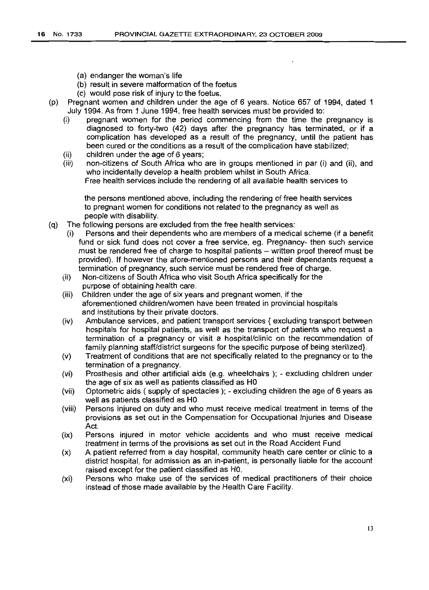- (a) endanger the woman's life
- (b) result in severe malformation of the foetus
- (c) would pose risk of injury to the foetus.
- (p) Pregnant women and children under the age of 6 years. Notice 657 of 1994, dated 1 July 1994. As from 1 June 1994, free health services must be provided to:
	- (i) pregnant women for the period commencing from the time the pregnancy is diagnosed to forty-two (42) days after the pregnancy has terminated, or if a complication has developed as a result of the pregnancy, until the patient has been cured or the conditions as a result of the complication have stabilized;
	- (ii) children under the age of 6 years;
	- (iii) non-citizens of South Africa who are in groups mentioned in par (i) and (ii), and who incidentally develop a health problem whilst in South Africa. Free health services include the rendering of all available health services to

the persons mentioned above, including the rendering of free health services to pregnant women for conditions not related to the pregnancy as well as people with disability.

- (q) The following persons are excluded from the free health services:
	- (i) Persons and their dependents who are members of a medical scheme (if a benefit fund or sick fund does not cover a free service, eg. Pregnancy- then such service must be rendered free of charge to hospital patients - written proof thereof must be provided). If however the afore-mentioned persons and their dependants request a termination of pregnancy, such service must be rendered free of charge.
	- (ii) Non-citizens of South Africa who visit South Africa specifically for the purpose of obtaining health care.
	- (iii) Children under the age of six years and pregnant women, if the aforementioned children/women have been treated in provincial hospitals and institutions by their private doctors.
	- (iv) Ambulance services, and patient transport services { excluding transport between hospitals for hospital patients, as well as the transport of patients who request a termination of a pregnancy or visit a hospital/clinic on the recommendation of family planning staff/district surgeons for the specific purpose of being sterilized}.
	- (v) Treatment of conditions that are not specifically related to the pregnancy or to the termination of a pregnancy.
	- (vi) Prosthesis and other artificial aids (e.g. wheelchairs ); excluding children under the age of six as well as patients classified as HO
	- (vii) Optometric aids ( supply of spectacles ); excluding children the age of 6 years as well as patients classified as HO
	- (viii) Persons injured on duty and who must receive medical treatment in terms of the provisions as set out in the Compensation for Occupational Injuries and Disease Act.
	- (ix) Persons injured in motor vehicle accidents and who must receive medical treatment in terms of the provisions as set out in the Road Accident Fund
	- (x) A patient referred from a day hospital, community health care center or clinic to a district hospital, for admission as an in-patient, is personally liable for the account raised except for the patient classified as HO.
	- (xi) Persons who make use of the services of medical practitioners of their choice instead of those made available by the Health Care Facility.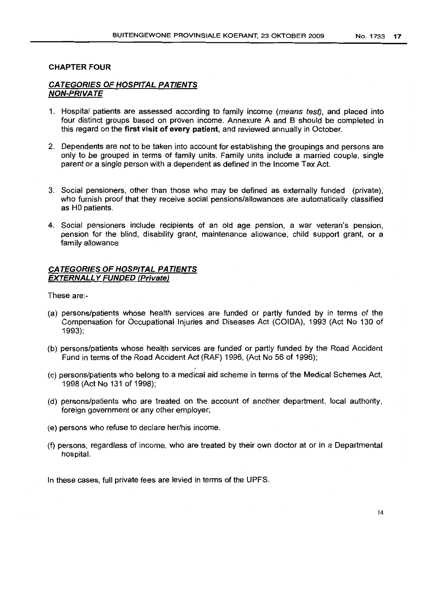### CHAPTER FOUR

## CATEGORIES OF HOSPITAL PATIENTS NON-PRIVATE

- 1. Hospital patients are assessed according to family income (means test), and placed into four distinct groups based on proven income. Annexure A and B should be completed in this regard on the first visit of every patient, and reviewed annually in October.
- 2. Dependents are not to be taken into account for establishing the groupings and persons are only to be grouped in terms of family units. Family units include a married couple, single parent or a single person with a dependent as defined in the Income Tax Act.
- 3. Social pensioners, other than those who may be defined as externally funded (private), who furnish proof that they receive social pensions/allowances are automatically classified as HO patients.
- 4. Social pensioners include recipients of an old age pension, a war veteran's pension, pension for the blind, disability grant, maintenance allowance, child support grant, or a family allowance

## CATEGORIES OF HOSPITAL PATIENTS EXTERNALLY FUNDED (Private)

These are:-

- (a) persons/patients whose health services are funded or partly funded by in terms of the Compensation for Occupational Injuries and Diseases Act (COIDA), 1993 (Act No 130 of 1993);
- (b) persons/patients whose health services are funded or partly funded by the Road Accident Fund in terms of the Road Accident Act (RAF) 1996, (Act No 56 of 1996);
- (c) persons/patients who belong to a medical aid scheme in terms of the Medical Schemes Act, 1998 (Act No 131 of 1998);
- (d) persons/patients who are treated on the account of another department, local authority, foreign government or any other employer;
- (e) persons who refuse to declare her/his income.
- (f) persons, regardless of income, who are treated by their own doctor at or in a Departmental hospital.

In these cases, full private fees are levied in terms of the UPFS.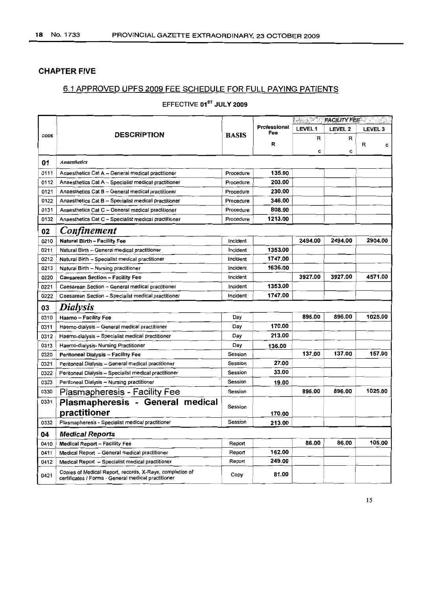## CHAPTER FIVE

## 6.1 APPROVED UPFS 2009 FEE SCHEDULE FOR FULL PAYING PATIENTS

## EFFECTIVE 01<sup>ST</sup> JULY 2009

|      |                                                                                                                 |              |                     | <b>ENTRACILITY FEET THE STATE</b> |                |                |  |
|------|-----------------------------------------------------------------------------------------------------------------|--------------|---------------------|-----------------------------------|----------------|----------------|--|
|      |                                                                                                                 |              | Professional<br>Fee | <b>LEVEL1</b>                     | <b>LEVEL 2</b> | <b>LEVEL 3</b> |  |
| CODE | <b>DESCRIPTION</b>                                                                                              | <b>BASIS</b> |                     | R                                 | R              |                |  |
|      |                                                                                                                 |              | R                   | c                                 | С              | R<br>c         |  |
| 01   | <b>Anaesthetics</b>                                                                                             |              |                     |                                   |                |                |  |
| 0111 | Anaesthetics Cat A - General medical practitioner                                                               | Procedure    | 135.00              |                                   |                |                |  |
| 0112 | Anaesthetics Cat A - Specialist medical practitioner                                                            | Procedure    | 203.00              |                                   |                |                |  |
| 0121 | Anaesthetics Cat B - General medical practitioner                                                               | Procedure    | 230.00              |                                   |                |                |  |
| 0122 | Anaesthetics Cat B - Specialist medical practitioner                                                            | Procedure    | 346.00              |                                   |                |                |  |
| 0131 | Anaesthetics Cat C - General medical practitioner                                                               | Procedure    | 808.00              |                                   |                |                |  |
| 0132 | Anaesthetics Cat C - Specialist medical practitioner                                                            | Procedure    | 1213.00             |                                   |                |                |  |
| 02   | Confinement                                                                                                     |              |                     |                                   |                |                |  |
| 0210 | <b>Natural Birth - Facility Fee</b>                                                                             | Incident     |                     | 2494.00                           | 2494.00        | 2904.00        |  |
| 0211 | Natural Birth - General medical practitioner                                                                    | Incident     | 1353.00             |                                   |                |                |  |
| 0212 | Natural Birth - Specialist medical practitioner                                                                 | Incident     | 1747.00             |                                   |                |                |  |
| 0213 | Natural Birth - Nursing practitioner                                                                            | Incident     | 1636.00             |                                   |                |                |  |
| 0220 | <b>Caesarean Section - Facility Fee</b>                                                                         | Incident     |                     | 3927.00                           | 3927.00        | 4571.00        |  |
| 0221 | Caesarean Section - General medical practitioner                                                                | Incident     | 1353.00             |                                   |                |                |  |
| 0222 | Caesarean Section - Specialist medical practitioner                                                             | Incident     | 1747.00             |                                   |                |                |  |
| 03   | <b>Dialysis</b>                                                                                                 |              |                     |                                   |                |                |  |
| 0310 | Haemo - Facility Fee                                                                                            | Day          |                     | 896.00                            | 896.00         | 1025.00        |  |
| 0311 | Haemo-dialysis - General medical practitioner                                                                   | Day          | 170.00              |                                   |                |                |  |
| 0312 | Haemo-dialysis - Specialist medical practitioner                                                                | Day          | 213.00              |                                   |                |                |  |
| 0313 | Haemo-dialysis- Nursing Practitioner                                                                            | Day          | 136.00              |                                   |                |                |  |
| 0320 | <b>Peritoneal Dialysis - Facility Fee</b>                                                                       | Session      |                     | 137.00                            | 137.00         | 157.00         |  |
| 0321 | Peritoneal Dialysis - General medical practitioner                                                              | Session      | 27.00               |                                   |                |                |  |
| 0322 | Peritoneal Dialysis - Specialist medical practitioner                                                           | Session      | 33.00               |                                   |                |                |  |
| 0323 | Peritoneal Dialysis - Nursing practitioner                                                                      | Session      | 19.00               |                                   |                |                |  |
| 0330 | Plasmapheresis - Facility Fee                                                                                   | Session      |                     | 896.00                            | 896.00         | 1025.00        |  |
| 0331 | Plasmapheresis - General medical                                                                                | Session      |                     |                                   |                |                |  |
|      | practitioner                                                                                                    |              | 170.00              |                                   |                |                |  |
| 0332 | Plasmapheresis - Specialist medical practitioner                                                                | Session      | 213.00              |                                   |                |                |  |
| 04   | <b>Medical Reports</b>                                                                                          |              |                     |                                   |                |                |  |
| 0410 | <b>Medical Report - Facility Fee</b>                                                                            | Report       |                     | 86.00                             | 86.00          | 105.00         |  |
| 0411 | Medical Report - General medical practitioner                                                                   | Report       | 162.00              |                                   |                |                |  |
| 0412 | Medical Report - Specialist medical practitioner                                                                | Report       | 249.00              |                                   |                |                |  |
| 0421 | Copies of Medical Report, records, X-Rays, completion of<br>certificates / Forms - General medical practitioner | Copy         | 81.00               |                                   |                |                |  |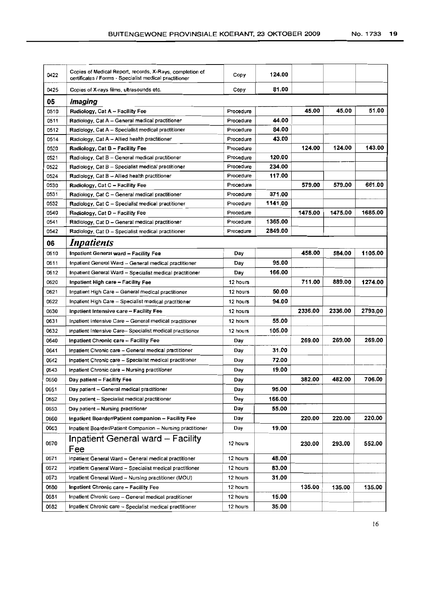| 0422 | Copies of Medical Report, records, X-Rays, completion of<br>certificates / Forms - Specialist medical practitioner | Copy      | 124.00  |         |         |         |
|------|--------------------------------------------------------------------------------------------------------------------|-----------|---------|---------|---------|---------|
| 0425 | Copies of X-rays films, ultrasounds etc.                                                                           | Copy      | 81.00   |         |         |         |
| 05   | <i>Imaging</i>                                                                                                     |           |         |         |         |         |
| 0510 | Radiology, Cat A - Facility Fee                                                                                    | Procedure |         | 45.00   | 45.00   | 51.00   |
| 0511 | Radiology, Cat A - General medical practitioner                                                                    | Procedure | 44.00   |         |         |         |
| 0512 | Radiology, Cat A - Specialist medical practitioner                                                                 | Procedure | 84.00   |         |         |         |
| 0514 | Radiology, Cat A - Allied health practitioner                                                                      | Procedure | 43.00   |         |         |         |
| 0520 | Radiology, Cat B - Facility Fee                                                                                    | Procedure |         | 124.00  | 124.00  | 143.00  |
| 0521 | Radiology, Cat B - General medical practitioner                                                                    | Procedure | 120.00  |         |         |         |
| 0522 | Radiology, Cat B - Specialist medical practitioner                                                                 | Procedure | 234.00  |         |         |         |
| 0524 | Radiology, Cat B - Allied health practitioner                                                                      | Procedure | 117.00  |         |         |         |
| 0530 | Radiology, Cat C - Facility Fee                                                                                    | Procedure |         | 579.00  | 579.00  | 661.00  |
| 0531 | Radiology, Cat C - General medical practitioner                                                                    | Procedure | 371.00  |         |         |         |
| 0532 | Radiology, Cat C - Specialist medical practitioner                                                                 | Procedure | 1141.00 |         |         |         |
| 0540 | Radiology, Cat D - Facility Fee                                                                                    | Procedure |         | 1475.00 | 1475.00 | 1685.00 |
| 0541 | Radiology, Cat D - General medical practitioner                                                                    | Procedure | 1365.00 |         |         |         |
| 0542 | Radiology, Cat D - Specialist medical practitioner                                                                 | Procedure | 2849.00 |         |         |         |
| 06   | Inpatients                                                                                                         |           |         |         |         |         |
| 0610 | Inpatient General ward - Facility Fee                                                                              | Day       |         | 458.00  | 584.00  | 1105.00 |
| 0611 | Inpatient General Ward - General medical practitioner                                                              | Day       | 95.00   |         |         |         |
| 0612 | Inpatient General Ward - Specialist medical practitioner                                                           | Day       | 166.00  |         |         |         |
| 0620 | Inpatient High care - Facility Fee                                                                                 | 12 hours  |         | 711.00  | 889.00  | 1274.00 |
| 0621 | Inpatient High Care - General medical practitioner                                                                 | 12 hours  | 50.00   |         |         |         |
| 0622 | Inpatient High Care - Specialist medical practitioner                                                              | 12 hours  | 94.00   |         |         |         |
| 0630 | Inpatient Intensive care - Facility Fee                                                                            | 12 hours  |         | 2336.00 | 2336.00 | 2793.00 |
| 0631 | Inpatient Intensive Care - General medical practitioner                                                            | 12 hours  | 55.00   |         |         |         |
| 0632 | Inpatient Intensive Care-Specialist medical practitioner                                                           | 12 hours  | 105.00  |         |         |         |
| 0640 |                                                                                                                    | Day       |         | 269.00  | 269.00  | 269.00  |
|      | Inpatient Chronic care - Facility Fee                                                                              |           | 31.00   |         |         |         |
| 0641 | Inpatient Chronic care - General medical practitioner                                                              | Day       |         |         |         |         |
| 0642 | Inpatient Chronic care - Specialist medical practitioner                                                           | Day       | 72.00   |         |         |         |
| 0643 | Inpatient Chronic care - Nursing practitioner                                                                      | Day       | 19.00   |         |         |         |
| 0650 | Day patient – Facility Fee                                                                                         | Day       |         | 382.00  | 482.00  | 706.00  |
| 0651 | Day patient - General medical practitioner                                                                         | Day       | 95.00   |         |         |         |
| 0652 | Day patient - Specialist medical practitioner                                                                      | Day       | 166.00  |         |         |         |
| 0653 | Day patient - Nursing practitioner                                                                                 | Day       | 55.00   |         |         |         |
| 0660 | Inpatient Boarder/Patient companion - Facility Fee                                                                 | Day       |         | 220.00  | 220.00  | 220.00  |
| 0663 | Inpatient Boarder/Patient Companion - Nursing practitioner                                                         | Day       | 19.00   |         |         |         |
| 0670 | Inpatient General ward - Facility<br>Fee                                                                           | 12 hours  |         | 230.00  | 293.00  | 552,00  |
| 0671 | Inpatient General Ward - General medical practitioner                                                              | 12 hours  | 48.00   |         |         |         |
| 0672 | Inpatient General Ward - Specialist medical practitioner                                                           | 12 hours  | 83.00   |         |         |         |
| 0673 | Inpatient General Ward - Nursing practitioner (MOU)                                                                | 12 hours  | 31.00   |         |         |         |
| 0680 | Inpatient Chronic care - Facility Fee                                                                              | 12 hours  |         | 135.00  | 135.00  | 135.00  |
| 0681 | Inpatient Chronic care - General medical practitioner                                                              | 12 hours  | 15.00   |         |         |         |
| 0682 | Inpatient Chronic care - Specialist medical practitioner                                                           | 12 hours  | 35.00   |         |         |         |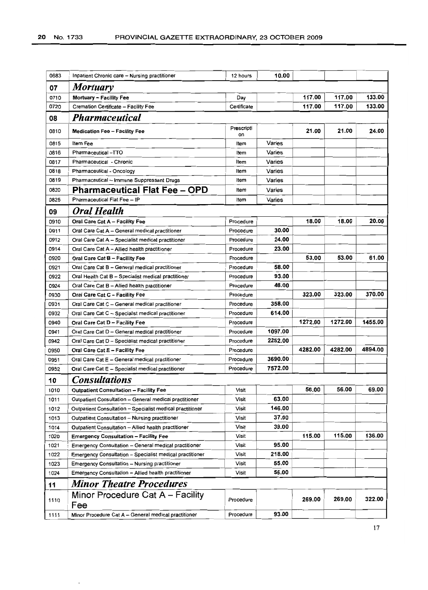| 0683 | Inpatient Chronic care - Nursing practitioner             | 12 hours         | 10.00   |         |         |         |
|------|-----------------------------------------------------------|------------------|---------|---------|---------|---------|
| 07   | <b>Mortuary</b>                                           |                  |         |         |         |         |
| 0710 | Mortuary - Facility Fee                                   | Day              |         | 117.00  | 117.00  | 133.00  |
| 0720 | Cremation Certificate - Facility Fee                      | Certificate      |         | 117.00  | 117.00  | 133.00  |
| 08   | <b>Pharmaceutical</b>                                     |                  |         |         |         |         |
| 0810 | <b>Medication Fee - Facility Fee</b>                      | Prescripti<br>on |         | 21.00   | 21.00   | 24.00   |
| 0815 | Item Fee                                                  | Item             | Varies  |         |         |         |
| 0816 | Pharmaceutical -TTO                                       | Item             | Varies  |         |         |         |
| 0817 | Pharmaceutical - Chronic                                  | Item             | Varies  |         |         |         |
| 0818 | Pharmaceutical - Oncology                                 | Item             | Varies  |         |         |         |
| 0819 | Pharmaceutical - Immune Suppressant Drugs                 | Item             | Varies  |         |         |         |
| 0820 | <b>Pharmaceutical Flat Fee - OPD</b>                      | Item             | Varies  |         |         |         |
| 0825 | Pharmaceutical Flat Fee - IP                              | Item             | Varies  |         |         |         |
| 09   | <b>Oral Health</b>                                        |                  |         |         |         |         |
| 0910 | Oral Care Cat A - Facility Fee                            | Procedure        |         | 18.00   | 18.00   | 20.00   |
| 0911 | Oral Care Cat A - General medical practitioner            | Procedure        | 30.00   |         |         |         |
| 0912 | Oral Care Cat A - Specialist medical practitioner         | Procedure        | 24.00   |         |         |         |
| 0914 | Oral Care Cat A - Allied health practitioner              | Procedure        | 23.00   |         |         |         |
| 0920 | Oral Care Cat B - Facility Fee                            | Procedure        |         | 53.00   | 53.00   | 61.00   |
| 0921 | Oral Care Cat B - General medical practitioner            | Procedure        | 58.00   |         |         |         |
| 0922 | Oral Health Cat B - Specialist medical practitioner       | Procedure        | 93.00   |         |         |         |
| 0924 | Oral Care Cat B - Allied health practitioner              | Procedure        | 48.00   |         |         |         |
| 0930 | Oral Care Cat C - Facility Fee                            | Procedure        |         | 323.00  | 323.00  | 370.00  |
| 0931 | Oral Care Cat C - General medical practitioner            | Procedure        | 358.00  |         |         |         |
| 0932 | Oral Care Cat C - Specialist medical practitioner         | Procedure        | 614.00  |         |         |         |
| 0940 | Oral Care Cat D - Facility Fee                            | Procedure        |         | 1272.00 | 1272.00 | 1455.00 |
| 0941 | Oral Care Cat D - General medical practitioner            | Procedure        | 1097.00 |         |         |         |
| 0942 | Oral Care Cat D - Specialist medical practitioner         | Procedure        | 2252.00 |         |         |         |
| 0950 | Oral Care Cat E - Facility Fee                            | Procedure        |         | 4282.00 | 4282.00 | 4894.00 |
| 0951 | Oral Care Cat E - General medical practitioner            | Procedure        | 3690.00 |         |         |         |
| 0952 | Oral Care Cat E - Specialist medical practitioner         | Procedure        | 7572.00 |         |         |         |
| 10   | <b>Consultations</b>                                      |                  |         |         |         |         |
| 1010 | <b>Outpatient Consultation - Facility Fee</b>             | Visit            |         | 56.00   | 56.00   | 69.00   |
| 1011 | Outpatient Consultation - General medical practitioner    | Visit            | 63.00   |         |         |         |
| 1012 | Outpatient Consultation - Specialist medical practitioner | Visit            | 146.00  |         |         |         |
| 1013 | Outpatient Consultation - Nursing practitioner            | Visit            | 37.00   |         |         |         |
| 1014 | Outpatient Consultation - Allied health practitioner      | Visit            | 39.00   |         |         |         |
| 1020 | <b>Emergency Consultation - Facility Fee</b>              | Visit            |         | 115.00  | 115.00  | 136.00  |
| 1021 | Emergency Consultation - General medical practitioner     | Visit            | 95.00   |         |         |         |
| 1022 | Emergency Consultation - Specialist medical practitioner  | Visit            | 218.00  |         |         |         |
| 1023 | Emergency Consultation - Nursing practitioner             | Visit            | 55.00   |         |         |         |
| 1024 | Emergency Consultation - Allied health practitioner       | Visit            | 56.00   |         |         |         |
| 11   | <b>Minor Theatre Procedures</b>                           |                  |         |         |         |         |
| 1110 | Minor Procedure Cat A – Facility<br>Fee                   | Procedure        |         | 269.00  | 269.00  | 322.00  |
| 1111 | Minor Procedure Cat A - General medical practitioner      | Procedure        | 93.00   |         |         |         |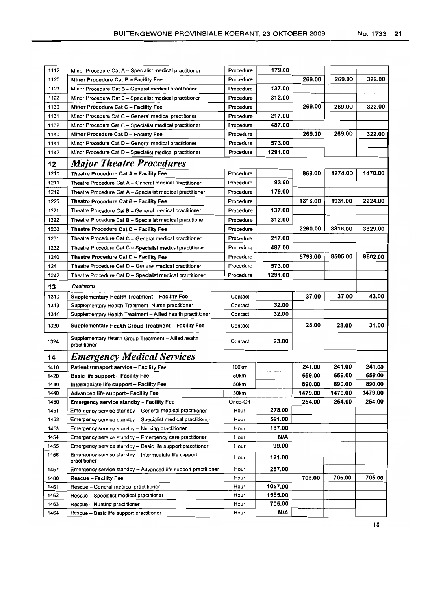| 1112 |                                                                               |           |         |         |         |         |
|------|-------------------------------------------------------------------------------|-----------|---------|---------|---------|---------|
|      | Minor Procedure Cat A - Specialist medical practitioner                       | Procedure | 179.00  |         |         |         |
| 1120 | Minor Procedure Cat B - Facility Fee                                          | Procedure |         | 269.00  | 269.00  | 322.00  |
| 1121 | Minor Procedure Cat B - General medical practitioner                          | Procedure | 137.00  |         |         |         |
| 1122 | Minor Procedure Cat B - Specialist medical practitioner                       | Procedure | 312.00  |         |         |         |
| 1130 | Minor Procedure Cat C - Facility Fee                                          | Procedure |         | 269.00  | 269.00  | 322.00  |
| 1131 | Minor Procedure Cat C - General medical practitioner                          | Procedure | 217.00  |         |         |         |
| 1132 | Minor Procedure Cat C - Specialist medical practitioner                       | Procedure | 487.00  |         |         |         |
| 1140 | Minor Procedure Cat D - Facility Fee                                          | Procedure |         | 269.00  | 269.00  | 322.00  |
| 1141 | Minor Procedure Cat D - General medical practitioner                          | Procedure | 573.00  |         |         |         |
| 1142 | Minor Procedure Cat D - Specialist medical practitioner                       | Procedure | 1291.00 |         |         |         |
| 12   | <b>Major Theatre Procedures</b>                                               |           |         |         |         |         |
| 1210 | Theatre Procedure Cat A - Facility Fee                                        | Procedure |         | 869.00  | 1274.00 | 1470.00 |
| 1211 | Theatre Procedure Cat A - General medical practitioner                        | Procedure | 93.00   |         |         |         |
| 1212 | Theatre Procedure Cat A - Specialist medical practitioner                     | Procedure | 179.00  |         |         |         |
|      |                                                                               |           |         | 1316.00 | 1931.00 | 2224.00 |
| 1220 | Theatre Procedure Cat B - Facility Fee                                        | Procedure |         |         |         |         |
| 1221 | Theatre Procedure Cat B - General medical practitioner                        | Procedure | 137.00  |         |         |         |
| 1222 | Theatre Procedure Cat B - Specialist medical practitioner                     | Procedure | 312.00  |         |         |         |
| 1230 | Theatre Procedure Cat C - Facility Fee                                        | Procedure |         | 2260.00 | 3318.00 | 3829.00 |
| 1231 | Theatre Procedure Cat C - General medical practitioner                        | Procedure | 217.00  |         |         |         |
| 1232 | Theatre Procedure Cat C - Specialist medical practitioner                     | Procedure | 487.00  |         |         |         |
| 1240 | Theatre Procedure Cat D - Facility Fee                                        | Procedure |         | 5798.00 | 8505.00 | 9802.00 |
| 1241 | Theatre Procedure Cat D - General medical practitioner                        | Procedure | 573.00  |         |         |         |
| 1242 | Theatre Procedure Cat D - Specialist medical practitioner                     | Procedure | 1291.00 |         |         |         |
| 13   | <b>Treatments</b>                                                             |           |         |         |         |         |
| 1310 | Supplementary Health Treatment - Facility Fee                                 | Contact   |         | 37.00   | 37.00   | 43.00   |
| 1313 | Supplementary Health Treatment-Nurse practitioner                             | Contact   | 32.00   |         |         |         |
|      |                                                                               |           |         |         |         |         |
| 1314 | Supplementary Health Treatment - Allied health practitioner                   | Contact   | 32.00   |         |         |         |
| 1320 | Supplementary Health Group Treatment - Facility Fee                           | Contact   |         | 28.00   | 28.00   | 31.00   |
| 1324 | Supplementary Health Group Treatment - Allied health<br>practitioner          | Contact   | 23.00   |         |         |         |
| 14   |                                                                               |           |         |         |         |         |
| 1410 | <b>Emergency Medical Services</b><br>Patient transport service - Facility Fee | 100km     |         | 241.00  | 241.00  | 241.00  |
| 1420 | Basic life support - Facility Fee                                             | 50km      |         | 659.00  | 659.00  | 659.00  |
| 1430 | Intermediate life support - Facility Fee                                      | 50km      |         | 890.00  | 890.00  | 890.00  |
| 1440 | Advanced life support- Facility Fee                                           | 50km      |         | 1479.00 | 1479.00 | 1479.00 |
| 1450 | <b>Emergency service standby - Facility Fee</b>                               | Once-Off  |         | 254.00  | 254.00  | 254.00  |
| 1451 | Emergency service standby - General medical practitioner                      | Hour      | 278.00  |         |         |         |
| 1452 | Emergency service standby - Specialist medical practitioner                   | Hour      | 521.00  |         |         |         |
| 1453 | Emergency service standby - Nursing practitioner                              | Hour      | 187.00  |         |         |         |
| 1454 | Emergency service standby - Emergency care practitioner                       | Hour      | N/A     |         |         |         |
| 1455 | Emergency service standby - Basic life support practitioner                   | Hour      | 99.00   |         |         |         |
| 1456 | Emergency service standby - Intermediate life support<br>practitioner         | Hour      | 121.00  |         |         |         |
| 1457 | Emergency service standby - Advanced life support practitioner                | Hour      | 257.00  |         |         |         |
| 1460 | <b>Rescue - Facility Fee</b>                                                  | Hour      |         | 705.00  | 705.00  | 705.00  |
| 1461 | Rescue - General medical practitioner                                         | Hour      | 1057.00 |         |         |         |
| 1462 | Rescue - Specialist medical practitioner                                      | Hour      | 1585.00 |         |         |         |
| 1463 | Rescue -- Nursing practitioner                                                | Hour      | 705.00  |         |         |         |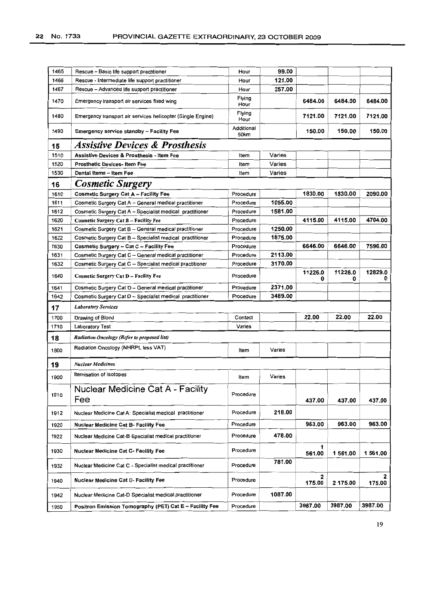| 1465 | Rescue - Basic life support practitioner                    | Hour               | 99.00   |              |              |              |
|------|-------------------------------------------------------------|--------------------|---------|--------------|--------------|--------------|
| 1466 | Rescue - Intermediate life support practitioner             | Hour               | 121.00  |              |              |              |
| 1467 | Rescue - Advanced life support practitioner                 | Hour               | 257.00  |              |              |              |
| 1470 | Emergency transport air services fixed wing                 | Flying<br>Hour     |         | 6484.00      | 6484.00      | 6484.00      |
| 1480 | Emergency transport air services helicopter (Single Engine) | Flying<br>Hour     |         | 7121.00      | 7121.00      | 7121.00      |
| 1490 | <b>Emergency service standby - Facility Fee</b>             | Additional<br>50km |         | 150.00       | 150.00       | 150.00       |
| 15   | <b>Assistive Devices &amp; Prosthesis</b>                   |                    |         |              |              |              |
| 1510 | Assistive Devices & Prosthesis - Item Fee                   | Item               | Varies  |              |              |              |
| 1520 | <b>Prosthetic Devices-Item Fee</b>                          | Item               | Varies  |              |              |              |
| 1530 | Dental Items - Item Fee                                     | Item               | Varies  |              |              |              |
| 16   | <b>Cosmetic Surgery</b>                                     |                    |         |              |              |              |
| 1610 | Cosmetic Surgery Cat A - Facility Fee                       | Procedure          |         | 1830.00      | 1830.00      | 2090.00      |
| 1611 | Cosmetic Surgery Cat A - General medical practitioner       | Procedure          | 1055.00 |              |              |              |
| 1612 | Cosmetic Surgery Cat A - Specialist medical practitioner    | Procedure          | 1581.00 |              |              |              |
| 1620 | <b>Cosmetic Surgery Cat B - Facility Fee</b>                | Procedure          |         | 4115.00      | 4115.00      | 4704.00      |
| 1621 | Cosmetic Surgery Cat B - General medical practitioner       | Procedure          | 1250.00 |              |              |              |
| 1622 | Cosmetic Surgery Cat B - Specialist medical practitioner    | Procedure          | 1875.00 |              |              |              |
| 1630 | Cosmetic Surgery - Cat C - Facility Fee                     | Procedure          |         | 6646.00      | 6646.00      | 7596.00      |
| 1631 | Cosmetic Surgery Cat C - General medical practitioner       | Procedure          | 2113.00 |              |              |              |
| 1632 | Cosmetic Surgery Cat C - Specialist medical practitioner    | Procedure          | 3170.00 |              |              |              |
| 1640 | Cosmetic Surgery Cat D - Facility Fee                       | Procedure          |         | 11226.0<br>0 | 11226.0<br>0 | 12829.0<br>0 |
| 1641 | Cosmetic Surgery Cat D - General medical practitioner       | Procedure          | 2371.00 |              |              |              |
| 1642 | Cosmetic Surgery Cat D - Specialist medical practitioner    | Procedure          | 3489.00 |              |              |              |
| 17   | <b>Laboratory Services</b>                                  |                    |         |              |              |              |
| 1700 | Drawing of Blood                                            | Contact            |         | 22.00        | 22.00        | 22.00        |
| 1710 | <b>Laboratory Test</b>                                      | Varies             |         |              |              |              |
| 18   | Radiation Oncology (Refer to proposed list)                 |                    |         |              |              |              |
| 1800 | Radiation Oncology (NHRPL less VAT)                         | Item               | Varies  |              |              |              |
| 19   | <b>Nuclear Medicines</b>                                    |                    |         |              |              |              |
| 1900 | Itemisation of Isotopes                                     | Item               | Varies  |              |              |              |
| 1910 | <b>Nuclear Medicine Cat A - Facility</b><br>Fee             | Procedure          |         | 437.00       | 437.00       | 437.00       |
| 1912 | Nuclear Medicine Cat A: Specialist medical practitioner     | Procedure          | 218.00  |              |              |              |
| 1920 | <b>Nuclear Medicine Cat B- Facility Fee</b>                 | Procedure          |         | 963.00       | 963.00       | 963.00       |
| 1922 | Nuclear Medicine Cat-B Specialist medical practitioner      | Procedure          | 478.00  |              |              |              |
| 1930 | <b>Nuclear Medicine Cat C- Facility Fee</b>                 | Procedure          |         | 1<br>561.00  | 1 561.00     | 1 561.00     |
| 1932 | Nuclear Medicine Cat C - Specialist medical practitioner    | Procedure          | 781.00  |              |              |              |
| 1940 | <b>Nuclear Medicine Cat D- Facility Fee</b>                 | Procedure          |         | 2<br>175.00  | 2 175.00     | 2<br>175.00  |
| 1942 | Nuclear Medicine Cat-D Specialist medical practitioner      | Procedure          | 1087.00 |              |              |              |
| 1950 | Positron Emission Tomography (PET) Cat E - Facility Fee     | Procedure          |         | 3987.00      | 3987.00      | 3987.00      |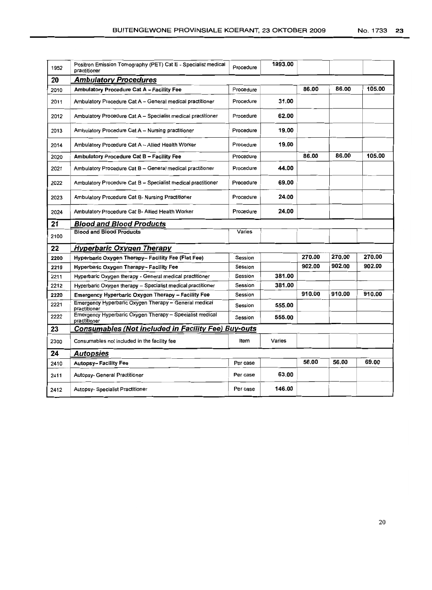| 1952 | Positron Emission Tomography (PET) Cat E - Specialist medical<br>practitioner | Procedure | 1993.00 |        |        |        |
|------|-------------------------------------------------------------------------------|-----------|---------|--------|--------|--------|
| 20   | <b>Ambulatory Procedures</b>                                                  |           |         |        |        |        |
| 2010 | Ambulatory Procedure Cat A - Facility Fee                                     | Procedure |         | 86.00  | 86.00  | 105.00 |
| 2011 | Ambulatory Procedure Cat A - General medical practitioner                     | Procedure | 31.00   |        |        |        |
| 2012 | Ambulatory Procedure Cat A - Specialist medical practitioner                  | Procedure | 62.00   |        |        |        |
| 2013 | Ambulatory Procedure Cat A - Nursing practitioner                             | Procedure | 19.00   |        |        |        |
| 2014 | Ambulatory Procedure Cat A - Allied Health Worker                             | Procedure | 19.00   |        |        |        |
| 2020 | Ambulatory Procedure Cat B - Facility Fee                                     | Procedure |         | 86.00  | 86.00  | 105.00 |
| 2021 | Ambulatory Procedure Cat B - General medical practitioner                     | Procedure | 44.00   |        |        |        |
| 2022 | Ambulatory Procedure Cat B - Specialist medical practitioner                  | Procedure | 69.00   |        |        |        |
| 2023 | Ambulatory Procedure Cat B- Nursing Practitioner                              | Procedure | 24.00   |        |        |        |
| 2024 | Ambulatory Procedure Cat B- Allied Health Worker                              | Procedure | 24.00   |        |        |        |
| 21   | <b>Blood and Blood Products</b>                                               |           |         |        |        |        |
| 2100 | <b>Blood and Blood Products</b>                                               | Varies    |         |        |        |        |
| 22   | <b>Hyperbaric Oxygen Therapy</b>                                              |           |         |        |        |        |
| 2200 | Hyperbaric Oxygen Therapy-- Facility Fee (Flat Fee)                           | Session   |         | 270.00 | 270.00 | 270.00 |
| 2210 | Hyperbaric Oxygen Therapy- Facility Fee                                       | Session   |         | 902.00 | 902.00 | 902.00 |
| 2211 | Hyperbaric Oxygen therapy - General medical practitioner                      | Session   | 381.00  |        |        |        |
| 2212 | Hyperbaric Oxygen therapy - Specialist medical practitioner                   | Session   | 381.00  |        |        |        |
| 2220 | Emergency Hyperbaric Oxygen Therapy - Facility Fee                            | Session   |         | 910.00 | 910.00 | 910.00 |
| 2221 | Emergency Hyperbaric Oxygen Therapy - General medical<br>practitioner         | Session   | 555.00  |        |        |        |
| 2222 | Emergency Hyperbaric Oxygen Therapy - Specialist medical<br>practitioner      | Session   | 555.00  |        |        |        |
| 23   | Consumables (Not included in Facility Fee) Buy-outs                           |           |         |        |        |        |
| 2300 | Consumables not included in the facility fee                                  | Item      | Varies  |        |        |        |
| 24   | <b>Autopsies</b>                                                              |           |         |        |        |        |
| 2410 | <b>Autopsy-Facility Fee</b>                                                   | Per case  |         | 56.00  | 56.00  | 69.00  |
| 2411 | Autopsy- General Practitioner                                                 | Per case  | 63.00   |        |        |        |
| 2412 | Autopsy- Specialist Practitioner                                              | Per case  | 146.00  |        |        |        |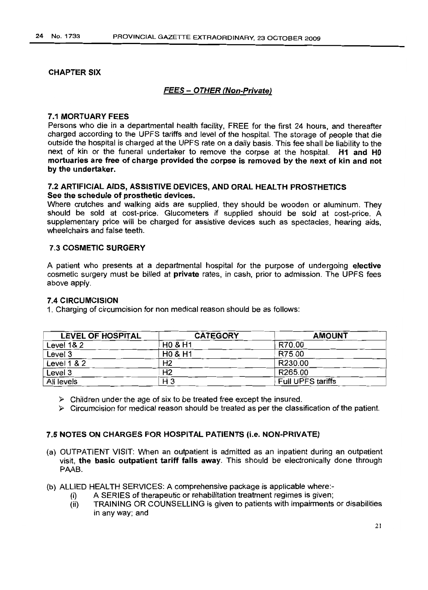### CHAPTER SIX

## FEES - OTHER (Non-Private)

### 7.1 MORTUARY FEES

Persons who die in a departmental health facility, FREE for the first 24 hours, and thereafter charged according to the UPFS tariffs and level of the hospital. The storage of people that die outside the hospital is charged at the UPFS rate on a daily basis. This fee shall be liability to the next of kin or the funeral undertaker to remove the corpse at the hospital. H1 and HO mortuaries are free of charge provided the corpse is removed by the next of kin and not by the undertaker.

## 7.2 ARTIFICIAL AIDS, ASSISTIVE DEVICES, AND ORAL HEALTH PROSTHETICS See the schedule of prosthetic devices.

Where crutches and walking aids are supplied, they should be wooden or aluminum. They should be sold at cost-price. Glucometers if supplied should be sold at cost-price. A supplementary price will be charged for assistive devices such as spectacles, hearing aids, wheelchairs and false teeth.

## 7.3 COSMETIC SURGERY

A patient who presents at a departmental hospital for the purpose of undergoing elective cosmetic surgery must be billed at private rates, in cash, prior to admission. The UPFS fees above apply.

### 7.4 CIRCUMCISION

1. Charging of circumcision for non medical reason should be as follows:

| <b>LEVEL OF HOSPITAL</b> | <b>CATEGORY</b>    | <b>AMOUNT</b>            |
|--------------------------|--------------------|--------------------------|
| Level 1& 2               | <b>HO &amp; H1</b> | R70.00                   |
| Level 3                  | <b>HO &amp; H1</b> | R75.00                   |
| Level 1 & 2              | H <sub>2</sub>     | R230.00                  |
| Level 3                  | H <sub>2</sub>     | R265.00                  |
| All levels               | $H_3$              | <b>Full UPFS tariffs</b> |

 $\triangleright$  Children under the age of six to be treated free except the insured.

 $\triangleright$  Circumcision for medical reason should be treated as per the classification of the patient.

## 7.5 NOTES ON CHARGES FOR HOSPITAL PATIENTS (i.e. NON-PRIVATE)

- (a) OUTPATIENT VISIT: When an outpatient is admitted as an inpatient during an outpatient visit, the basic outpatient tariff falls away. This should be electronically done through PAAB.
- (b) ALLIED HEALTH SERVICES: A comprehensive package is applicable where:-
	- (i) A SERIES of therapeutic or rehabilitation treatment regimes is given;
	- (ii) TRAINING OR COUNSELLING is given to patients with impairments or disabilities in any way; and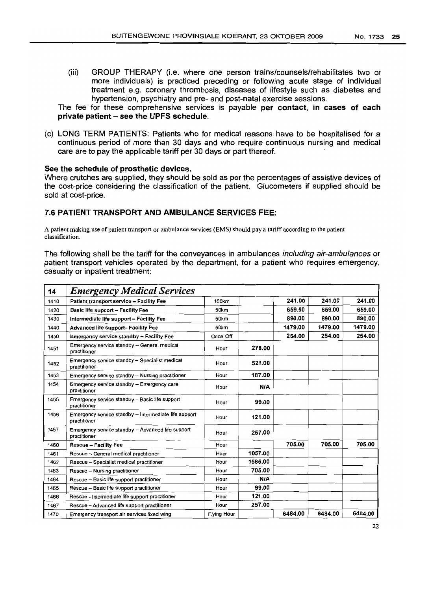(iii) GROUP THERAPY (Le. where one person trains/counsels/rehabilitates two or more individuals) is practiced preceding or following acute stage of individual treatment e.g. coronary thrombosis, diseases of lifestyle such as diabetes and hypertension, psychiatry and pre- and post-natal exercise sessions.

The fee for these comprehensive services is payable per contact, in cases of each private patient - see the UPFS schedule.

(c) LONG TERM PATIENTS: Patients who for medical reasons have to be hospitalised for a continuous period of more than 30 days and who require continuous nursing and medical care are to pay the applicable tariff per 30 days or part thereof.

#### See the schedule of prosthetic devices.

Where crutches are supplied, they should be sold as per the percentages of assistive devices of the cost-price considering the classification of the patient. Glucometers if supplied should be sold at cost-price.

## 7.6 PATIENT TRANSPORT AND AMBULANCE SERVICES FEE:

A patient making use of patient transport or ambulance services (EMS) should pay a tariff according to the patient classification.

The following shall be the tariff for the conveyances in ambulances including air-ambulances or patient transport vehicles operated by the department, for a patient who requires emergency, casualty or inpatient treatment:

| 14   | <b>Emergency Medical Services</b>                                     |                    |         |         |         |         |
|------|-----------------------------------------------------------------------|--------------------|---------|---------|---------|---------|
| 1410 | Patient transport service - Facility Fee                              | 100km              |         | 241.00  | 241.00  | 241.00  |
| 1420 | Basic life support - Facility Fee                                     | 50km               |         | 659.00  | 659.00  | 659.00  |
| 1430 | Intermediate life support - Facility Fee                              | 50km               |         | 890.00  | 890.00  | 890.00  |
| 1440 | Advanced life support- Facility Fee                                   | 50km               |         | 1479.00 | 1479.00 | 1479.00 |
| 1450 | <b>Emergency service standby - Facility Fee</b>                       | Once-Off           |         | 254.00  | 254.00  | 254.00  |
| 1451 | Emergency service standby - General medical<br>practitioner           | Hour               | 278.00  |         |         |         |
| 1452 | Emergency service standby - Specialist medical<br>practitioner        | Hour               | 521.00  |         |         |         |
| 1453 | Emergency service standby - Nursing practitioner                      | Hour               | 187.00  |         |         |         |
| 1454 | Emergency service standby - Emergency care<br>practitioner            | Hour               | N/A     |         |         |         |
| 1455 | Emergency service standby - Basic life support<br>practitioner        | Hour               | 99.00   |         |         |         |
| 1456 | Emergency service standby - Intermediate life support<br>practitioner | Hour               | 121.00  |         |         |         |
| 1457 | Emergency service standby - Advanced life support<br>practitioner     | Hour               | 257.00  |         |         |         |
| 1460 | <b>Rescue - Facility Fee</b>                                          | Hour               |         | 705.00  | 705.00  | 705.00  |
| 1461 | Rescue - General medical practitioner                                 | Hour               | 1057.00 |         |         |         |
| 1462 | Rescue - Specialist medical practitioner                              | Hour               | 1585.00 |         |         |         |
| 1463 | Rescue - Nursing practitioner                                         | Hour               | 705.00  |         |         |         |
| 1464 | Rescue - Basic life support practitioner                              | Hour               | N/A     |         |         |         |
| 1465 | Rescue - Basic life support practitioner                              | Hour               | 99.00   |         |         |         |
| 1466 | Rescue - Intermediate life support practitioner                       | Hour               | 121.00  |         |         |         |
| 1467 | Rescue - Advanced life support practitioner                           | Hour               | 257.00  |         |         |         |
| 1470 | Emergency transport air services fixed wing                           | <b>Flying Hour</b> |         | 6484.00 | 6484.00 | 6484.00 |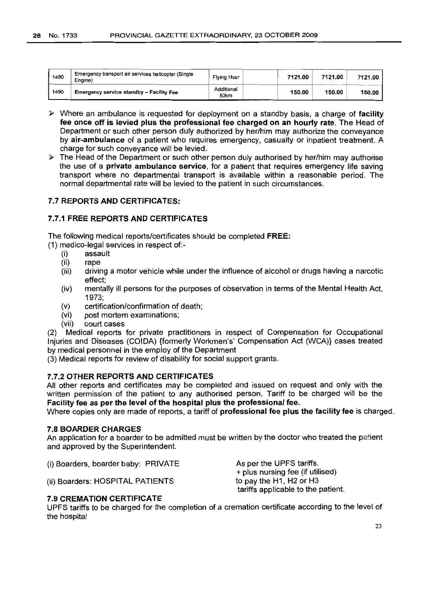| 1480 | Emergency transport air services helicopter (Single<br>Engine) | Flying Hour        | 7121.00 | 7121.00 | 7121.00 |
|------|----------------------------------------------------------------|--------------------|---------|---------|---------|
| 1490 | <b>Emergency service standby - Facility Fee</b>                | Additional<br>50km | 150.00  | 150.00  | 150.00  |

- $\triangleright$  Where an ambulance is requested for deployment on a standby basis, a charge of facility fee once off is levied plus the professional fee charged on an hourly rate. The Head of Department or such other person duly authorized by her/him may authorize the conveyance by air-ambulance of a patient who requires emergency, casualty or inpatient treatment. A charge for such conveyance will be levied.
- $\triangleright$  The Head of the Department or such other person duly authorised by her/him may authorise the use of a private ambulance service, for a patient that requires emergency life saving transport where no departmental transport is available within a reasonable period. The normal departmental rate will be levied to the patient in such circumstances.

## 7.7 REPORTS AND CERTIFICATES:

## 7.7.1 FREE REPORTS AND CERTIFICATES

The following medical reports/certificates should be completed FREE:

(1) medico-legal services in respect of:-

- (i) assault
- (ii) rape
- (iii) driving a motor vehicle while under the influence of alcohol or drugs having a narcotic effect;
- (iv) mentally ill persons for the purposes of observation in terms of the Mental Health Act, 1973;
- (v) certification/confirmation of death;
- (vi) post mortem examinations;
- (vii) court cases

(2) Medical reports for private practitioners in respect of Compensation for Occupational Injuries and Diseases (COIDA) {formerly Workmen's' Compensation Act (WCA)} cases treated by medical personnel in the employ of the Department

(3) Medical reports for review of disability for social support grants.

#### 7.7.2 OTHER REPORTS AND CERTIFICATES

All other reports and certificates may be completed and issued on request and only with the written permission of the patient to any authorised person. Tariff to be charged will be the Facility fee as per the level of the hospital plus the professional fee.

Where copies only are made of reports, a tariff of **professional fee plus the facility fee** is charged.

## 7.8 BOARDER CHARGES

An application for a boarder to be admitted must be written by the doctor who treated the patient and approved by the Superintendent.

(i) Boarders, boarder baby: PRIVATE

As per the UPFS tariffs. + plus nursing fee (if utilised) to pay the H1, H2 or H3 tariffs applicable to the patient.

(ii) Boarders: HOSPITAL PATIENTS

## 7.9 CREMATION CERTIFICATE

UPFS tariffs to be charged for the completion of a cremation certificate according to the level of the hospital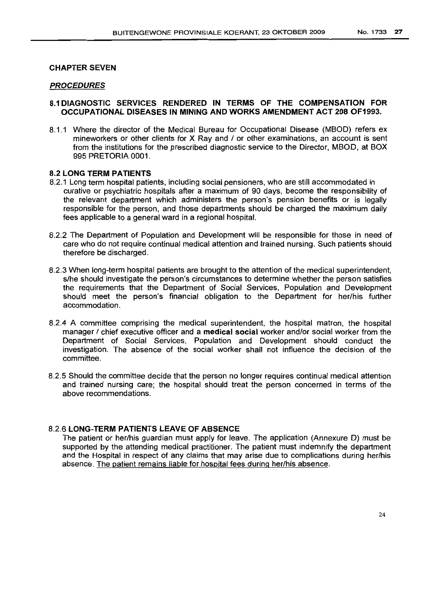#### CHAPTER SEVEN

#### PROCEDURES

### 8.1 DIAGNOSTIC SERVICES RENDERED IN TERMS OF THE COMPENSATION FOR OCCUPATIONAL DISEASES IN MINING AND WORKS AMENDMENT ACT 208 OF1993.

8.1.1 Where the director of the Medical Bureau for Occupational Disease (MBOD) refers ex mineworkers or other clients for X Ray and / or other examinations, an account is sent from the institutions for the prescribed diagnostic service to the Director, MBOD, at BOX 995 PRETORIA 0001.

## 8.2 LONG TERM PATIENTS

- 8.2.1 Long term hospital patients, including social pensioners, who are still accommodated in curative or psychiatric hospitals after a maximum of 90 days, become the responsibility of the relevant department which administers the person's pension benefits or is legally responsible for the person, and those departments should be charged the maximum daily fees applicable to a general ward in a regional hospital.
- 8.2.2 The Department of Population and Development will be responsible for those in need of care who do not require continual medical attention and trained nursing. Such patients should therefore be discharged.
- 8.2.3 When long-term hospital patients are brought to the attention of the medical superintendent, s/he should investigate the person's circumstances to determine whether the person satisfies the requirements that the Department of Social Services, Population and Development should meet the person's financial obligation to the Department for her/his further accommodation.
- 8.2.4 A committee comprising the medical superintendent, the hospital matron, the hospital manager / chief executive officer and a medical social worker and/or social worker from the Department of Social Services, Population and Development should conduct the investigation. The absence of the social worker shall not influence the decision of the committee.
- 8.2.5 Should the committee decide that the person no longer requires continual medical attention and trained nursing care; the hospital should treat the person concerned in terms of the above recommendations.

## 8.2.6 LONG-TERM PATIENTS LEAVE OF ABSENCE

The patient or her/his guardian must apply for leave. The application (Annexure D) must be supported by the attending medical practitioner. The patient must indemnify the department and the Hospital in respect of any claims that may arise due to complications during her/his absence. The patient remains liable for hospital fees during her/his absence.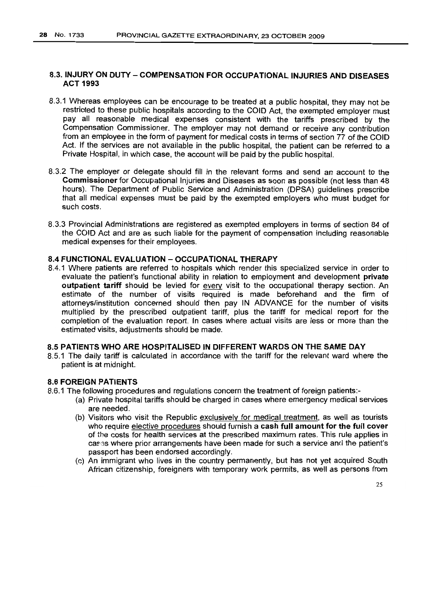## 8.3. INJURY ON DUTY - COMPENSATION FOR OCCUPATIONAL INJURIES AND DISEASES ACT 1993

- 8.3.1 Whereas employees can be encourage to be treated at a public hospital, they may not be restricted to these public hospitals according to the COlD Act, the exempted employer must pay all reasonable medical expenses consistent with the tariffs prescribed by the Compensation Commissioner. The employer may not demand or receive any contribution from an employee in the form of payment for medical costs in terms of section 77 of the COlD Act. If the services are not available in the public hospital, the patient can be referred to a Private Hospital, in which case, the account will be paid by the public hospital.
- 8.3.2 The employer or delegate should fill in the relevant forms and send an account to the Commissioner for Occupational Injuries and Diseases as soon as possible (not less than 48 hours). The Department of Public Service and Administration (DPSA) guidelines prescribe that all medical expenses must be paid by the exempted employers who must budget for such costs.
- 8.3.3 Provincial Administrations are registered as exempted employers in terms of section 84 of the COlD Act and are as such liable for the payment of compensation including reasonable medical expenses for their employees.

## 8.4 FUNCTIONAL EVALUATION - OCCUPATIONAL THERAPY

8.4.1 Where patients are referred to hospitals which render this specialized service in order to evaluate the patient's functional ability in relation to employment and development private outpatient tariff should be levied for every visit to the occupational therapy section. An estimate of the number of visits required is made beforehand and the firm of attorneys/institution concerned should then pay IN ADVANCE for the number of visits multiplied by the prescribed outpatient tariff, plus the tariff for medical report for the completion of the evaluation report. In cases where actual visits are less or more than the estimated visits, adjustments should be made.

### 8.5 PATIENTS WHO ARE HOSPITALISED IN DIFFERENT WARDS ON THE SAME DAY

8.5.1 The daily tariff is calculated in accordance with the tariff for the relevant ward where the patient is at midnight.

#### 8.6 FOREIGN PATIENTS

- 8.6.1 The following procedures and regulations concern the treatment of foreign patients:-
	- (a) Private hospital tariffs should be charged in cases where emergency medical services are needed.
	- (b) Visitors who visit the Republic exclusively for medical treatment, as well as tourists who require elective procedures should furnish a cash full amount for the full cover of the costs for health services at the prescribed maximum rates. This rule applies in cases where prior arrangements have been made for such a service and the patient's passport has been endorsed accordingly.
	- (c) An immigrant who lives in the country permanently, but has not yet acquired South African citizenship, foreigners with temporary work permits, as well as persons from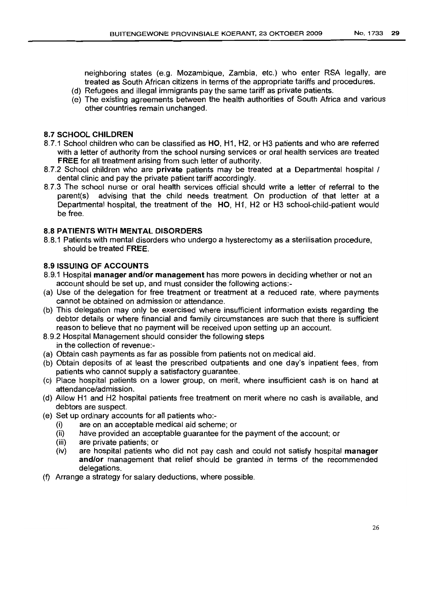neighboring states (e.g. Mozambique, Zambia, etc.) who enter RSA legally, are treated as South African citizens in terms of the appropriate tariffs and procedures.

- (d) Refugees and illegal immigrants pay the same tariff as private patients.
- (e) The existing agreements between the health authorities of South Africa and various other countries remain unchanged.

## 8.7 SCHOOL CHILDREN

- 8.7.1 School children who can be classified as HO, H1, H2, or H3 patients and who are referred with a letter of authority from the school nursing services or oral health services are treated FREE for all treatment arising from such letter of authority.
- 8.7.2 School children who are **private** patients may be treated at a Departmental hospital / dental clinic and pay the private patient tariff accordingly.
- 8.7.3 The school nurse or oral health services official should write a letter of referral to the parent(s) advising that the child needs treatment. On production of that letter at a Departmental hospital, the treatment of the HO, H1, H2 or H3 school-child-patient would be free.

## 8.8 PATIENTS WITH MENTAL DISORDERS

8.8.1 Patients with mental disorders who undergo a hysterectomy as a sterilisation procedure, should be treated FREE.

## 8.9 ISSUING OF ACCOUNTS

- 8.9.1 Hospital manager and/or management has more powers in deciding whether or not an account should be set up, and must consider the following actions:-
- (a) Use of the delegation for free treatment or treatment at a reduced rate, where payments cannot be obtained on admission or attendance.
- (b) This delegation may only be exercised where insufficient information exists regarding the debtor details or where financial and family circumstances are such that there is sufficient reason to believe that no payment will be received upon setting up an account.
- 8.9.2 Hospital Management should consider the following steps in the collection of revenue:-
- (a) Obtain cash payments as far as possible from patients not on medical aid.
- (b) Obtain deposits of at least the prescribed outpatients and one day's inpatient fees, from patients who cannot supply a satisfactory guarantee.
- (c) Place hospital patients on a lower group, on merit, where insufficient cash is on hand at attendance/admission.
- (d) Allow H1 and H2 hospital patients free treatment on merit where no cash is available, and debtors are suspect.
- (e) Set up ordinary accounts for all patients who:-
	- (i) are on an acceptable medical aid scheme; or
	- (ii) have provided an acceptable guarantee for the payment of the account; or
	- (iii) are private patients; or
	- (iv) are hospital patients who did not pay cash and could not satisfy hospital manager and/or management that relief should be granted in terms of the recommended delegations.
- (f) Arrange a strategy for salary deductions, where possible.